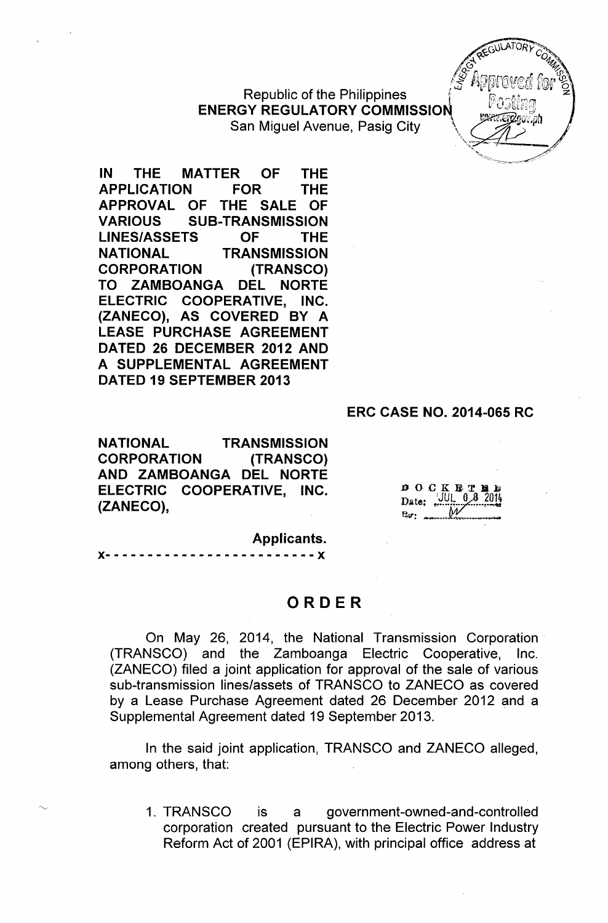**Republic of the Philippines ENERGY REGULATORY COMMISSION** San Miguel Avenue, Pasig City

IN THE MATTER OF THE APPLICATION FOR THE APPROVAL OF THE SALE OF VARIOUS SUB-TRANSMISSION LINES/ASSETS OF THE NATIONAL TRANSMISSION CORPORATION (TRANSCO) TO ZAMBOANGA DEL NORTE ELECTRIC COOPERATIVE, INC. (ZANECO), AS COVERED BY A LEASE PURCHASE AGREEMENT DATED 26 DECEMBER 2012 AND A SUPPLEMENTAL AGREEMENT DATED 19 SEPTEMBER 2013

#### ERC CASE NO. 2014-065 RC

NATIONAL TRANSMISSION CORPORATION (TRANSCO) AND ZAMBOANGA DEL NORTE ELECTRIC COOPERATIVE, INC. (ZANECO),

 $0$  O C K E T I

Applicants.

)(- - - - - - - - - - - - - - - - - - - - - - - - - )(

### ORDER

On May 26, 2014, the National Transmission Corporation. (TRANSCO) and the Zamboanga Electric Cooperative, Inc. (ZANECO) filed a joint application for approval of the sale of various sub-transmission lines/assets of TRANSCO to ZANECO as covered by a Lease Purchase Agreement dated 26 December 2012 and a Supplemental Agreement dated 19 September 2013.

In the said joint application, TRANSCO and ZANECO alleged, among others, that:

1. TRANSCO is a government-owned-and-controlled corporation created pursuant to the Electric Power Industry Reform Act of 2001 (EPIRA), with principal office address at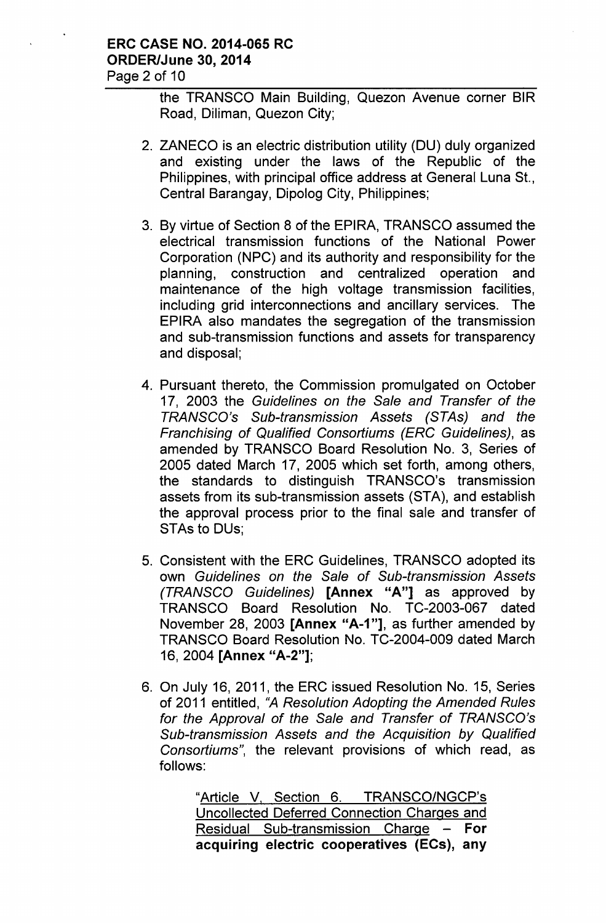the TRANSCO Main Building, Quezon Avenue corner SIR Road, Diliman, Quezon City;

- 2. ZANECO is an electric distribution utility (DU) duly organized and existing under the laws of the Republic of the Philippines, with principal office address at General Luna St., Central Barangay, Dipolog City, Philippines;
- 3. By virtue of Section 8 of the EPIRA, TRANSCO assumed the electrical transmission functions of the National Power Corporation (NPC) and its authority and responsibility for the planning, construction and centralized operation and maintenance of the high voltage transmission facilities, including grid interconnections and ancillary services. The EPIRA also mandates the segregation of the transmission and sub-transmission functions and assets for transparency and disposal;
- 4. Pursuant thereto, the Commission promulgated on October 17, 2003 the *Guidelines on the Sale and Transfer* of *the TRANSCO's Sub-transmission* Assets *(STAs) and the Franchising* of *Qualified Consortiums (ERC Guidelines),* as amended by TRANSCO Board Resolution No. 3, Series of 2005 dated March 17, 2005 which set forth, among others, the standards to distinguish TRANSCO's transmission assets from its sub-transmission assets (STA), and establish the approval process prior to the final sale and transfer of STAs to DUs;
- 5. Consistent with the ERC Guidelines, TRANSCO adopted its own *Guidelines on the Sale* of *Sub-transmission* Assets *(TRANSCO Guidelines)* [Annex "A"] as approved by TRANSCO Board Resolution No. TC-2003-067 dated November 28, 2003 [Annex "A-1"], as further amended by TRANSCO Board Resolution No. TC-2004-009 dated March 16, 2004 [Annex "A-2"];
- 6. On July 16, 2011, the ERC issued Resolution No. 15, Series of 2011 entitled, *"A Resolution Adopting the Amended Rules for the Approval* of *the Sale and Transfer* of *TRANSCO's Sub-transmission* Assets *and the Acquisition by Qualified Consortiums",* the relevant provisions of which read, as follows:

"Article V, Section 6. TRANSCO/NGCP's Uncollected Deferred Connection Charges and Residual Sub-transmission Charge - For acquiring electric cooperatives (ECs), any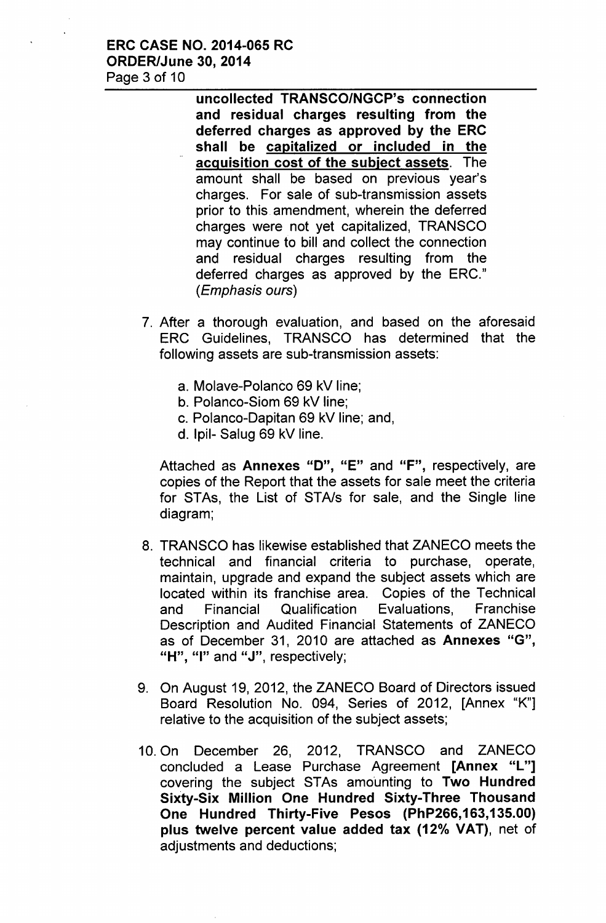### ERC CASE NO. 2014-065 RC ORDER/June 30, 2014 Page 3 of 10

uncollected TRANSCO/NGCP's connection and residual charges resulting from the deferred charges as approved by the ERC shall be capitalized or included in the acquisition cost of the subject assets. The amount shall be based on previous year's charges. For sale of sub-transmission assets prior to this amendment, wherein the deferred charges were not yet capitalized, TRANSCO may continue to bill and collect the connection and residual charges resulting from the deferred charges as approved by the ERC." *(Emphasis ours)*

- 7. After a thorough evaluation, and based on the aforesaid ERC Guidelines, TRANSCO has determined that the following assets are sub-transmission assets:
	- a. Molave-Polanco 69 kV line;
	- b. Polanco-Siom 69 kV line;
	- c. Polanco-Dapitan 69 kV line; and,
	- d. Ipil- Salug 69 kV line.

Attached as Annexes "D", "E" and "F", respectively, are copies of the Report that the assets for sale meet the criteria for STAs, the List of STA/s for sale, and the Single line diagram;

- 8. TRANSCO has likewise established that ZANECO meets the technical and financial criteria to purchase, operate, maintain, upgrade and expand the subject assets which are located within its franchise area. Copies of the Technical and Financial Qualification Evaluations, Franchise Description and Audited Financial Statements of ZANECO as of December 31, 2010 are attached as Annexes "G", "H", "I" and " $J$ ", respectively;
- 9. On August 19, 2012, the ZANECO Board of Directors issued Board Resolution No. 094, Series of 2012, [Annex "K"] relative to the acquisition of the subject assets;
- 10. On December 26, 2012, TRANSCO and ZANECO concluded a Lease Purchase Agreement [Annex "L"] covering the subject STAs amounting to Two Hundred Sixty-Six Million One Hundred Sixty-Three Thousand One Hundred Thirty-Five Pesos (PhP266,163,135.00) plus twelve percent value added tax (12% VAT), net of adjustments and deductions;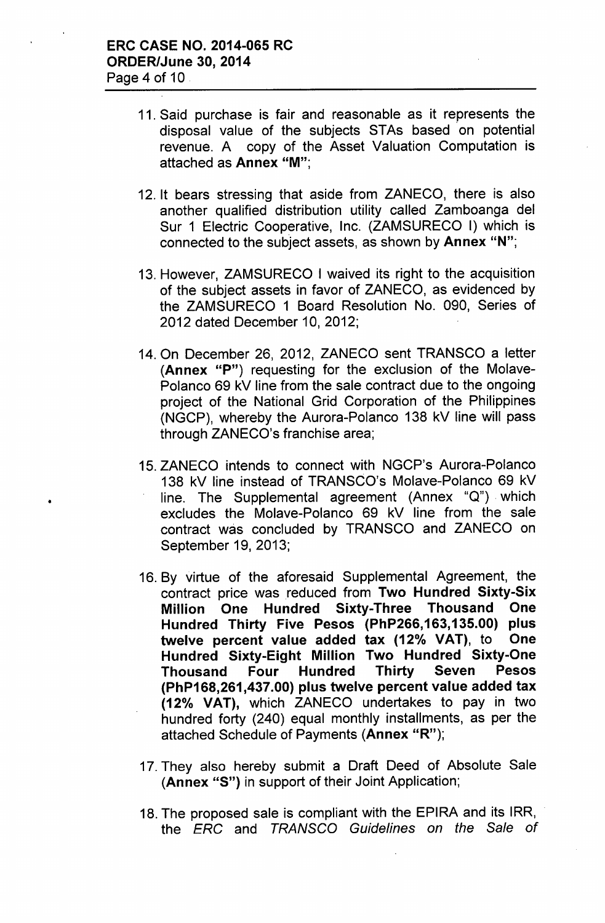•

- 11. Said purchase is fair and reasonable as it represents the disposal value of the subjects STAs based 'on potential revenue. A copy of the Asset Valuation Computation is attached as Annex "M'",
- 12. It bears stressing that aside from ZANECO, there is also another qualified distribution utility called Zamboanga del Sur 1 Electric Cooperative, Inc. (ZAMSURECO I) which is connected to the subject assets, as shown by Annex "N";
- 13. However, ZAMSURECO I waived its right to the acquisition of the subject assets in favor of ZANECO, as evidenced by the ZAMSURECO 1 Board Resolution No. 090, Series of 2012 dated December 10,2012;
- 14. On December 26, 2012, ZANECO sent TRANSCO a letter (Annex "P") requesting for the exclusion of the Molave-Polanco 69 kV line from the sale contract due to the ongoing project of the National Grid Corporation of the Philippines (NGCP), whereby the Aurora-Polanco 138 kV line will pass through ZANECO's franchise area;
- 15. ZANECO intends to connect with NGCP's Aurora-Polanco 138 kV line instead of TRANSCO's Molave-Polanco 69 kV line. The Supplemental agreement (Annex "Q") which excludes the Molave-Polanco 69 kV line from the sale contract was concluded by TRANSCO and ZANECO on September 19, 2013;
- 16. By virtue of the aforesaid Supplemental Agreement, the contract price was reduced from Two Hundred Sixty-Six Million One Hundred Sixty-Three Thousand One Hundred Thirty Five Pesos (PhP266,163,135.00) plus twelve percent value added tax (12% VAT), to One Hundred Sixty-Eight Million Two Hundred Sixty-One Thousand Four Hundred Thirty Seven Pesos (PhP168,261,437.00) plus twelve percent value added tax *(12°k* VAT), which ZANECO undertakes to pay in two hundred forty (240) equal monthly installments, as per the attached Schedule of Payments (Annex "R");
- 17. They also hereby submit a Draft Deed of Absolute Sale (Annex "S") in support of their Joint Application;
- 18. The proposed sale is compliant with the EPIRA and its IRR, the *ERG* and *TRANSGO Guidelines on the Sale of*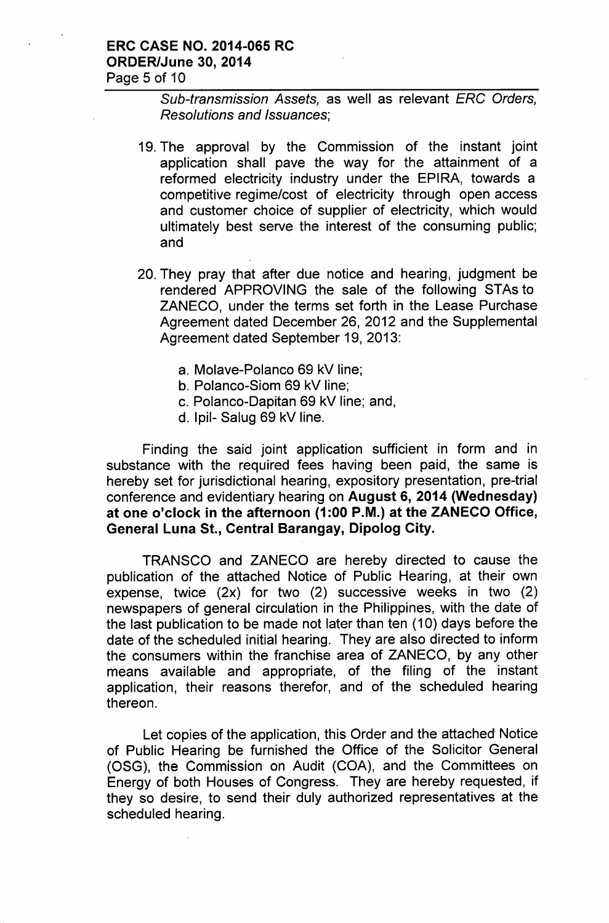### ERC CASE NO. 2014-065 RC ORDER/June 30, 2014 Page 5 of 10

*Sub-transmission Assets,* as well as relevant *ERG Orders, Resolutions and Issuances;*

- 19. The approval by the Commission of the instant joint application shall pave the way for the attainment of a reformed electricity industry under the EPIRA, towards a competitive regime/cost of electricity through open access and customer choice of supplier of electricity, which would ultimately best serve the interest of the consuming public; and
- 20. They pray that after due notice and hearing, judgment be rendered APPROVING the sale of the following STAs to ZANECO, under the terms set forth in the Lease Purchase Agreement dated December 26, 2012 and the Supplemental Agreement dated September 19, 2013:
	- a. Molave-Polanco 69 kV line;
	- b. Polanco-Siom 69 kV line;
	- c. Polanco-Dapitan 69 kV line; and,
	- d. Ipil- Salug 69 kV line.

Finding the said joint application sufficient in form and in substance with the required fees having been paid, the same is hereby set for jurisdictional hearing, expository presentation, pre-trial conference and evidentiary hearing on August 6, 2014 (Wednesday) at one o'clock in the afternoon (1:00 P.M.) at the ZANECO Office, General Luna St., Central Barangay, Dipolog City.

TRANSCO and ZANECO are hereby directed to cause the publication of the attached Notice of Public Hearing, at their own expense, twice (2x) for two (2) successive weeks in two (2) newspapers of general circulation in the Philippines, with the date of the last publication to be made not later than ten (10) days before the date of the scheduled initial hearing. They are also directed to inform the consumers within the franchise area of ZANECO, by any other means available and appropriate, of the filing of the instant application, their reasons therefor, and of the scheduled hearing thereon.

Let copies of the application, this Order and the attached Notice of Public Hearing be furnished the Office of the Solicitor General (OSG), the Commission on Audit (COA), and the Committees on Energy of both Houses of Congress. They are hereby requested, if they so desire, to send their duly authorized representatives at the scheduled hearing.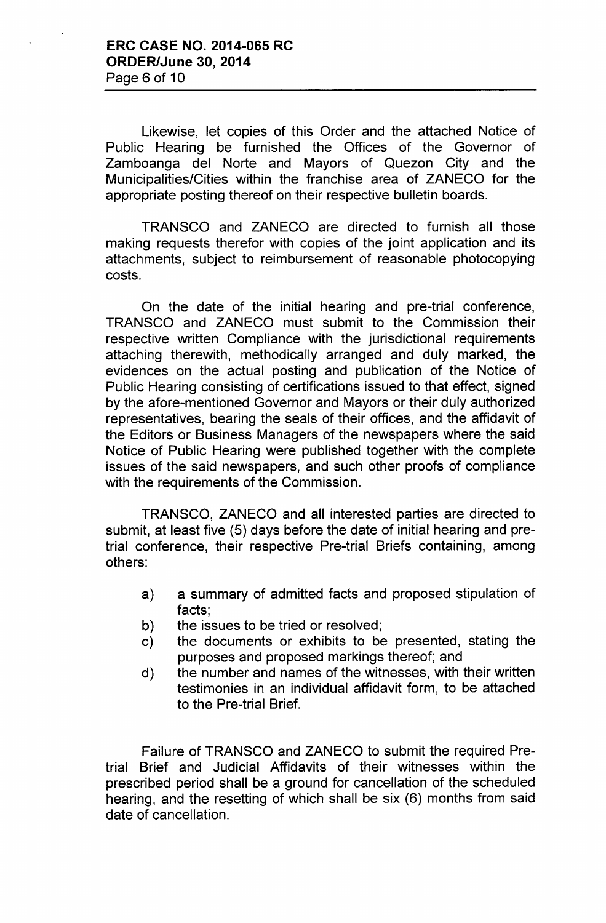Likewise, let copies of this Order and the attached Notice of Public Hearing be furnished the Offices of the Governor of Zamboanga del Norte and Mayors of Quezon City and the Municipalities/Cities within the franchise area of ZANECO for the appropriate posting thereof on their respective bulletin boards.

TRANSCO and ZANECO are directed to furnish all those making requests therefor with copies of the joint application and its attachments, subject to reimbursement of reasonable photocopying costs.

On the date of the initial hearing and pre-trial conference, TRANSCO and ZANECO must submit to the Commission their respective written Compliance with the jurisdictional requirements attaching therewith, methodically arranged and duly marked, the evidences on the actual posting and publication of the Notice of Public Hearing consisting of certifications issued to that effect, signed by the afore-mentioned Governor and Mayors or their duly authorized representatives, bearing the seals of their offices, and the affidavit of the Editors or Business Managers of the newspapers where the said Notice of Public Hearing were published together with the complete issues of the said newspapers, and such other proofs of compliance with the requirements of the Commission.

TRANSCO, ZANECO and all interested parties are directed to submit, at least five (5) days before the date of initial hearing and pretrial conference, their respective Pre-trial Briefs containing, among others:

- a) a summary of admitted facts and proposed stipulation of facts;
- b) the issues to be tried or resolved;
- c) the documents or exhibits to be presented, stating the purposes and proposed markings thereof; and
- d) the number and names of the witnesses, with their written testimonies in an individual affidavit form, to be attached to the Pre-trial Brief.

Failure of TRANSCO and ZANECO to submit the required Pretrial Brief and Judicial Affidavits of their witnesses within the prescribed period shall be a ground for cancellation of the scheduled hearing, and the resetting of which shall be six (6) months from said date of cancellation.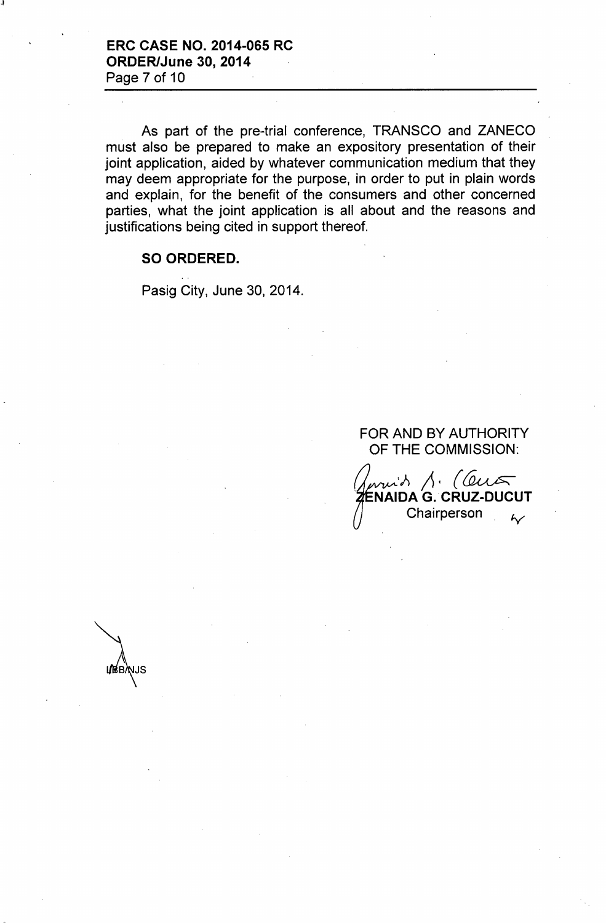As part of the pre-trial conference, TRANSCO and ZANECO must also be prepared to make an expository presentation of their joint application, aided by whatever communication medium that they may deem appropriate for the purpose, in order to put in plain words and explain, for the benefit of the consumers and other concerned parties, what the joint application is all about and the reasons and justifications being cited in support thereof.

#### SO ORDERED.

**URBANJS** 

Pasig City, June 30, 2014.

## FOR AND BY AUTHORITY OF THE COMMISSION:

with  $\Lambda$ . (Cut ZENAIDA G. CRUZ-DUCUT Chairperson <sub>61</sub>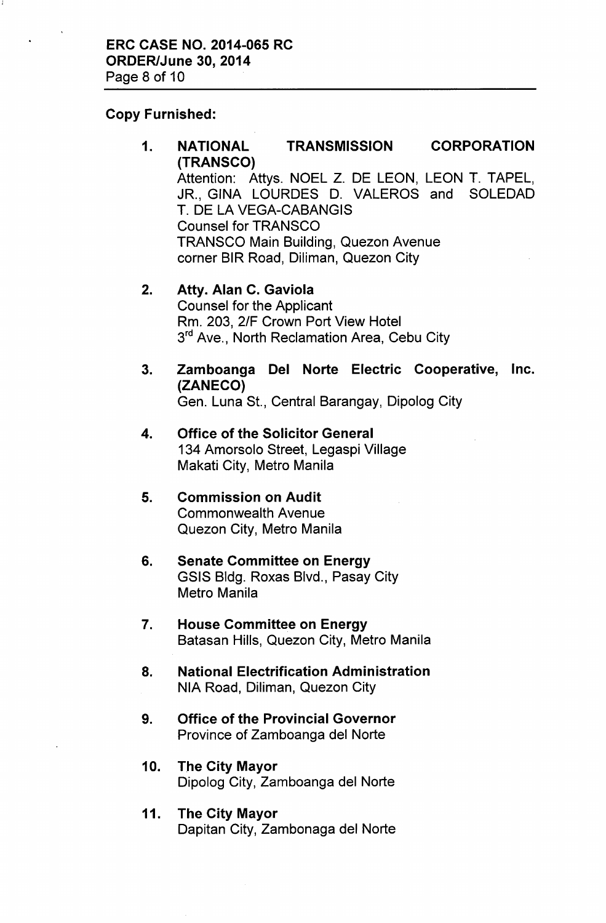## Copy Furnished:

1. NATIONAL TRANSMISSION CORPORATION (TRANSCO) Attention: Attys. NOEL Z. DE LEON, LEON T. TAPEL, JR., GINA LOURDES D. VALEROS and SOLEDAD T. DE LA VEGA-CABANGIS Counsel for TRANSCO TRANSCO Main Building, Quezon Avenue corner BIR Road, Diliman, Quezon City

# 2. Atty. Alan C. Gaviola Counsel for the Applicant Rm. 203, 2/F Crown Port View Hotel 3<sup>rd</sup> Ave., North Reclamation Area, Cebu City

- 3. Zamboanga Del Norte Electric Cooperative, Inc. (ZANECO) Gen. Luna St., Central Barangay, Dipolog City
- 4. Office of the Solicitor General 134 Amorsolo Street, Legaspi Village Makati City, Metro Manila
- 5. Commission on Audit Commonwealth Avenue Quezon City, Metro Manila
- 6. Senate Committee on Energy GSIS Bldg. Roxas Blvd., Pasay City Metro Manila
- 7. House Committee on Energy Batasan Hills, Quezon City, Metro Manila
- 8. National Electrification Administration NIA Road, Diliman, Quezon City
- 9. Office of the Provincial Governor Province of Zamboanga del Norte
- 10. The City Mayor Dipolog City, Zamboanga del Norte
- 11. The City Mayor Dapitan City, Zambonaga del Norte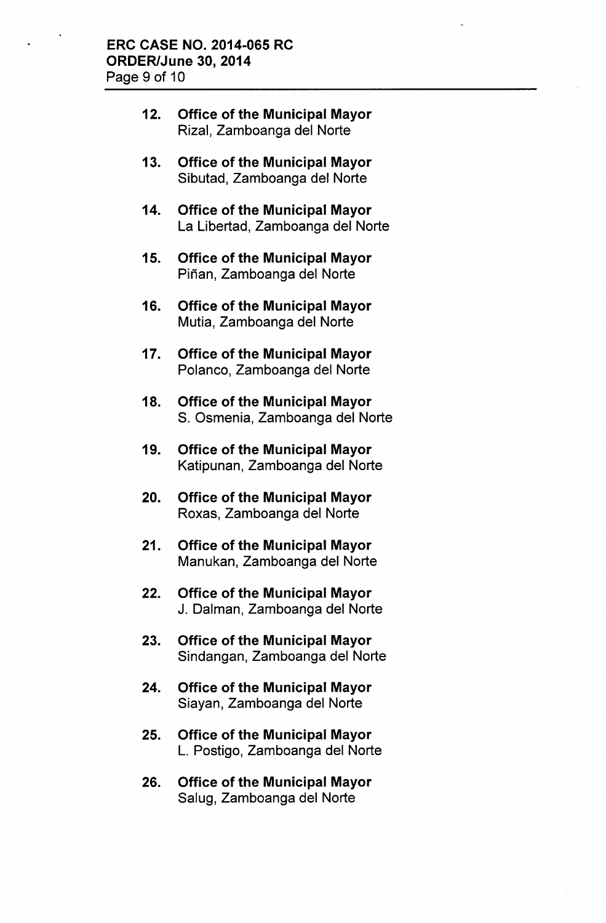- 12. Office of the Municipal Mayor Rizal, Zamboanga del Norte
- 13. Office of the Municipal Mayor Sibutad, Zamboanga del Norte
- 14. Office of the Municipal Mayor La Libertad, Zamboanga del Norte
- 15. Office of the Municipal Mayor Piñan, Zamboanga del Norte
- 16. Office of the Municipal Mayor Mutia, Zamboanga del Norte
- 17. Office of the Municipal Mayor Polanco, Zamboanga del Norte
- 18. Office of the Municipal Mayor S. Osmenia, Zamboanga del Norte
- 19. Office of the Municipal Mayor Katipunan, Zamboanga del Norte
- 20. Office of the Municipal Mayor Roxas, Zamboanga del Norte
- 21. Office of the Municipal Mayor Manukan, Zamboanga del Norte
- 22. Office of the Municipal Mayor J. Dalman, Zamboanga del Norte
- 23. Office of the Municipal Mayor Sindangan, Zamboanga del Norte
- 24. Office of the Municipal Mayor Siayan, Zamboanga del Norte
- 25. Office of the Municipal Mayor L. Postigo, Zamboanga del Norte
- 26. Office of the Municipal Mayor Salug, Zamboanga del Norte